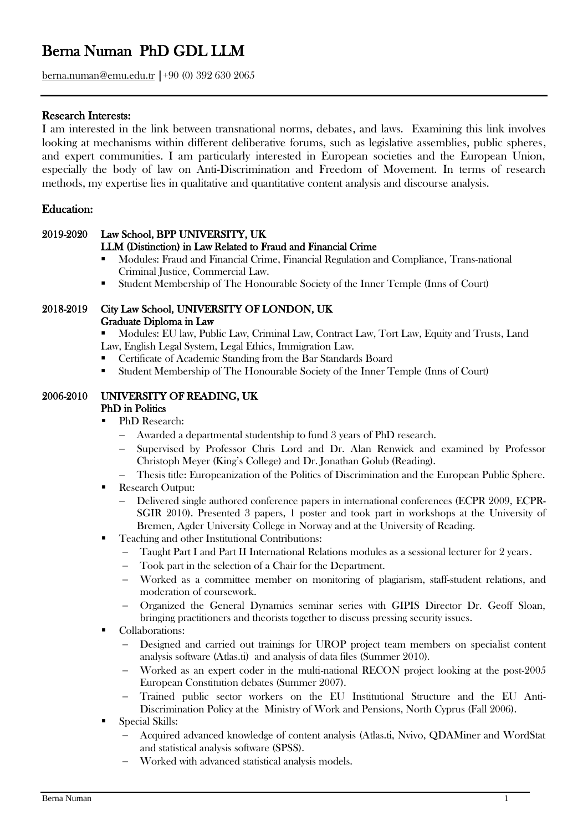# Berna Numan PhD GDL LLM

berna.numan@emu.edu.tr |+90 (0) 392 630 2065

## Research Interests:

I am interested in the link between transnational norms, debates, and laws. Examining this link involves looking at mechanisms within different deliberative forums, such as legislative assemblies, public spheres, and expert communities. I am particularly interested in European societies and the European Union, especially the body of law on Anti-Discrimination and Freedom of Movement. In terms of research methods, my expertise lies in qualitative and quantitative content analysis and discourse analysis.

## Education:

#### 2019-2020 Law School, BPP UNIVERSITY, UK LLM (Distinction) in Law Related to Fraud and Financial Crime

- Modules: Fraud and Financial Crime, Financial Regulation and Compliance, Trans-national
	- Criminal Justice, Commercial Law.
- Student Membership of The Honourable Society of the Inner Temple (Inns of Court)

#### 2018-2019 City Law School, UNIVERSITY OF LONDON, UK Graduate Diploma in Law

▪ Modules: EU law, Public Law, Criminal Law, Contract Law, Tort Law, Equity and Trusts, Land Law, English Legal System, Legal Ethics, Immigration Law.

- Certificate of Academic Standing from the Bar Standards Board
- Student Membership of The Honourable Society of the Inner Temple (Inns of Court)

#### 2006-2010 UNIVERSITY OF READING, UK PhD in Politics

- PhD Research:
	- − Awarded a departmental studentship to fund 3 years of PhD research.
	- − Supervised by Professor Chris Lord and Dr. Alan Renwick and examined by Professor Christoph Meyer (King's College) and Dr. Jonathan Golub (Reading).
	- − Thesis title: Europeanization of the Politics of Discrimination and the European Public Sphere.
- **Research Output:** 
	- − Delivered single authored conference papers in international conferences (ECPR 2009, ECPR-SGIR 2010). Presented 3 papers, 1 poster and took part in workshops at the University of Bremen, Agder University College in Norway and at the University of Reading.
- Teaching and other Institutional Contributions:
	- − Taught Part I and Part II International Relations modules as a sessional lecturer for 2 years.
		- Took part in the selection of a Chair for the Department.
		- − Worked as a committee member on monitoring of plagiarism, staff-student relations, and moderation of coursework.
		- − Organized the General Dynamics seminar series with GIPIS Director Dr. Geoff Sloan, bringing practitioners and theorists together to discuss pressing security issues.
- Collaborations:
	- − Designed and carried out trainings for UROP project team members on specialist content analysis software (Atlas.ti) and analysis of data files (Summer 2010).
	- − Worked as an expert coder in the multi-national RECON project looking at the post-2005 European Constitution debates (Summer 2007).
	- − Trained public sector workers on the EU Institutional Structure and the EU Anti-Discrimination Policy at the Ministry of Work and Pensions, North Cyprus (Fall 2006).
- Special Skills:
	- − Acquired advanced knowledge of content analysis (Atlas.ti, Nvivo, QDAMiner and WordStat and statistical analysis software (SPSS).
	- − Worked with advanced statistical analysis models.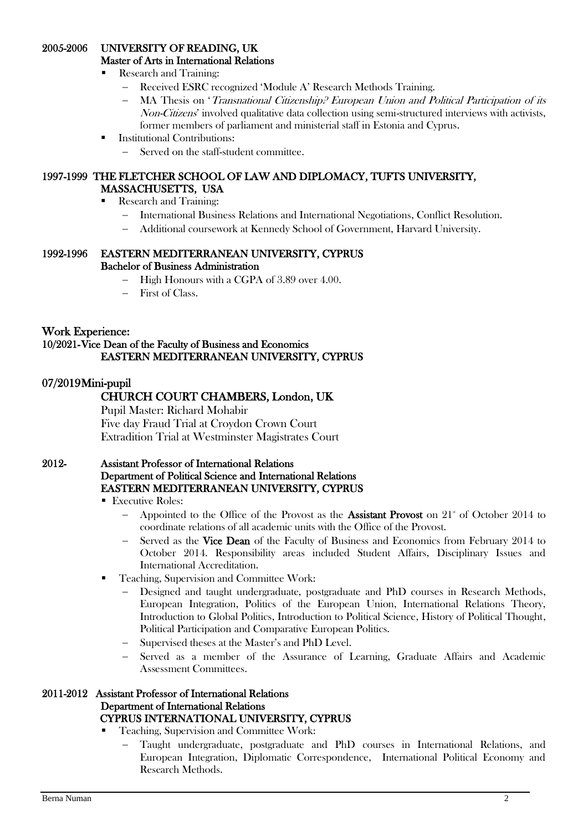## 2005-2006 UNIVERSITY OF READING, UK

Master of Arts in International Relations

- Research and Training:
	- − Received ESRC recognized 'Module A' Research Methods Training.
	- MA Thesis on 'Transnational Citizenship? European Union and Political Participation of its Non-Citizens' involved qualitative data collection using semi-structured interviews with activists, former members of parliament and ministerial staff in Estonia and Cyprus.
- **Institutional Contributions:** 
	- − Served on the staff-student committee.

#### 1997-1999 THE FLETCHER SCHOOL OF LAW AND DIPLOMACY, TUFTS UNIVERSITY, MASSACHUSETTS, USA

- Research and Training:
	- − International Business Relations and International Negotiations, Conflict Resolution.
	- − Additional coursework at Kennedy School of Government, Harvard University.

#### 1992-1996 EASTERN MEDITERRANEAN UNIVERSITY, CYPRUS Bachelor of Business Administration

- − High Honours with a CGPA of 3.89 over 4.00.
- First of Class.

#### Work Experience: 10/2021- Vice Dean of the Faculty of Business and Economics EASTERN MEDITERRANEAN UNIVERSITY, CYPRUS

## 07/2019 Mini-pupil

## CHURCH COURT CHAMBERS, London, UK

 Pupil Master: Richard Mohabir Five day Fraud Trial at Croydon Crown Court Extradition Trial at Westminster Magistrates Court

#### 2012- Assistant Professor of International Relations Department of Political Science and International Relations EASTERN MEDITERRANEAN UNIVERSITY, CYPRUS

- Executive Roles:
	- Appointed to the Office of the Provost as the Assistant Provost on  $21^*$  of October 2014 to coordinate relations of all academic units with the Office of the Provost.
	- Served as the Vice Dean of the Faculty of Business and Economics from February 2014 to October 2014. Responsibility areas included Student Affairs, Disciplinary Issues and International Accreditation.
- Teaching, Supervision and Committee Work:
	- Designed and taught undergraduate, postgraduate and PhD courses in Research Methods, European Integration, Politics of the European Union, International Relations Theory, Introduction to Global Politics, Introduction to Political Science, History of Political Thought, Political Participation and Comparative European Politics.
	- Supervised theses at the Master's and PhD Level.
	- Served as a member of the Assurance of Learning, Graduate Affairs and Academic Assessment Committees.

#### 2011-2012 Assistant Professor of International Relations Department of International Relations CYPRUS INTERNATIONAL UNIVERSITY, CYPRUS

- Teaching, Supervision and Committee Work:
	- − Taught undergraduate, postgraduate and PhD courses in International Relations, and European Integration, Diplomatic Correspondence, International Political Economy and Research Methods.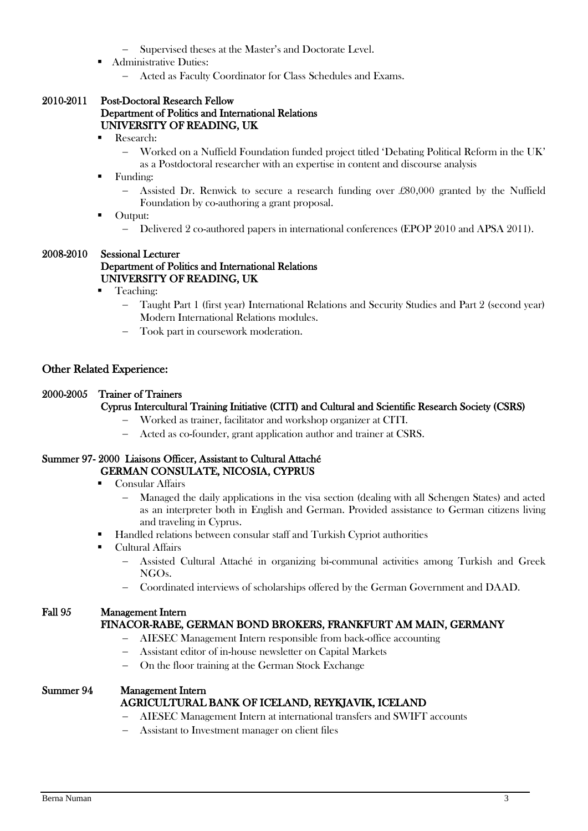- Supervised theses at the Master's and Doctorate Level.
- Administrative Duties:
	- Acted as Faculty Coordinator for Class Schedules and Exams.

#### 2010-2011 Post-Doctoral Research Fellow Department of Politics and International Relations UNIVERSITY OF READING, UK

- Research:
	- − Worked on a Nuffield Foundation funded project titled 'Debating Political Reform in the UK'
	- as a Postdoctoral researcher with an expertise in content and discourse analysis
- Funding:
	- − Assisted Dr. Renwick to secure a research funding over £80,000 granted by the Nuffield Foundation by co-authoring a grant proposal.
- Output:
	- − Delivered 2 co-authored papers in international conferences (EPOP 2010 and APSA 2011).

#### 2008-2010 Sessional Lecturer Department of Politics and International Relations UNIVERSITY OF READING, UK

- Teaching:
	- − Taught Part 1 (first year) International Relations and Security Studies and Part 2 (second year) Modern International Relations modules.
	- Took part in coursework moderation.

#### Other Related Experience:

#### 2000-2005 Trainer of Trainers

#### Cyprus Intercultural Training Initiative (CITI) and Cultural and Scientific Research Society (CSRS)

- − Worked as trainer, facilitator and workshop organizer at CITI.
- − Acted as co-founder, grant application author and trainer at CSRS.

#### Summer 97- 2000 Liaisons Officer, Assistant to Cultural Attaché GERMAN CONSULATE, NICOSIA, CYPRUS

- Consular Affairs
	- − Managed the daily applications in the visa section (dealing with all Schengen States) and acted as an interpreter both in English and German. Provided assistance to German citizens living and traveling in Cyprus.
- Handled relations between consular staff and Turkish Cypriot authorities
- Cultural Affairs
	- − Assisted Cultural Attaché in organizing bi-communal activities among Turkish and Greek NGOs.
	- − Coordinated interviews of scholarships offered by the German Government and DAAD.

#### Fall 95 Management Intern

#### FINACOR-RABE, GERMAN BOND BROKERS, FRANKFURT AM MAIN, GERMANY

- − AIESEC Management Intern responsible from back-office accounting
- − Assistant editor of in-house newsletter on Capital Markets
- On the floor training at the German Stock Exchange

#### Summer 94 Management Intern AGRICULTURAL BANK OF ICELAND, REYKJAVIK, ICELAND

- − AIESEC Management Intern at international transfers and SWIFT accounts
- − Assistant to Investment manager on client files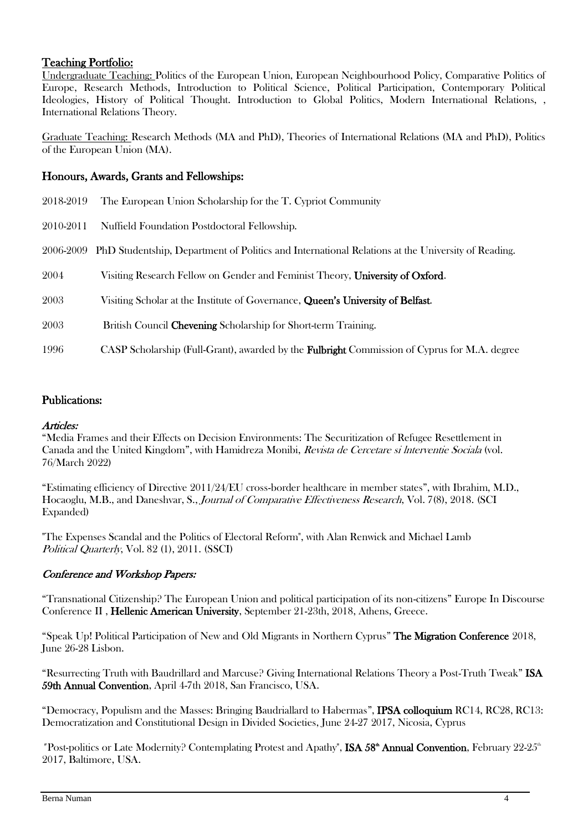## Teaching Portfolio:

Undergraduate Teaching: Politics of the European Union, European Neighbourhood Policy, Comparative Politics of Europe, Research Methods, Introduction to Political Science, Political Participation, Contemporary Political Ideologies, History of Political Thought. Introduction to Global Politics, Modern International Relations, , International Relations Theory.

Graduate Teaching: Research Methods (MA and PhD), Theories of International Relations (MA and PhD), Politics of the European Union (MA).

## Honours, Awards, Grants and Fellowships:

| 2018-2019 | The European Union Scholarship for the T. Cypriot Community                                         |
|-----------|-----------------------------------------------------------------------------------------------------|
| 2010-2011 | Nuffield Foundation Postdoctoral Fellowship.                                                        |
| 2006-2009 | PhD Studentship, Department of Politics and International Relations at the University of Reading.   |
| 2004      | Visiting Research Fellow on Gender and Feminist Theory, University of Oxford.                       |
| 2003      | Visiting Scholar at the Institute of Governance, Queen's University of Belfast.                     |
| 2003      | British Council Chevening Scholarship for Short-term Training.                                      |
| 1996      | CASP Scholarship (Full-Grant), awarded by the <b>Fulbright</b> Commission of Cyprus for M.A. degree |

## Publications:

## Articles:

"Media Frames and their Effects on Decision Environments: The Securitization of Refugee Resettlement in Canada and the United Kingdom", with Hamidreza Monibi, Revista de Cercetare si lnterventie Sociala (vol. 76/March 2022)

"Estimating efficiency of Directive 2011/24/EU cross-border healthcare in member states", with Ibrahim, M.D., Hocaoglu, M.B., and Daneshvar, S., Journal of Comparative Effectiveness Research, Vol. 7(8), 2018. (SCI Expanded)

"The Expenses Scandal and the Politics of Electoral Reform", with Alan Renwick and Michael Lamb Political Quarterly, Vol. 82 (1), 2011. (SSCI)

## Conference and Workshop Papers:

"Transnational Citizenship? The European Union and political participation of its non-citizens" Europe In Discourse Conference II , Hellenic American University, September 21-23th, 2018, Athens, Greece.

"Speak Up! Political Participation of New and Old Migrants in Northern Cyprus" The Migration Conference 2018, June 26-28 Lisbon.

"Resurrecting Truth with Baudrillard and Marcuse? Giving International Relations Theory a Post-Truth Tweak" ISA 59th Annual Convention, April 4-7th 2018, San Francisco, USA.

"Democracy, Populism and the Masses: Bringing Baudriallard to Habermas", IPSA colloquium RC14, RC28, RC13: Democratization and Constitutional Design in Divided Societies, June 24-27 2017, Nicosia, Cyprus

"Post-politics or Late Modernity? Contemplating Protest and Apathy", ISA 58<sup>th</sup> Annual Convention, February 22-25<sup>th</sup> 2017, Baltimore, USA.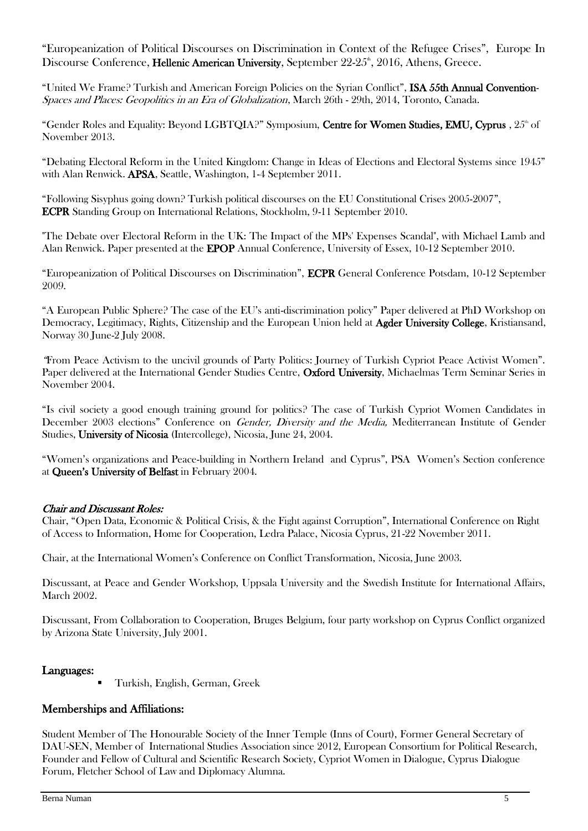"Europeanization of Political Discourses on Discrimination in Context of the Refugee Crises", Europe In Discourse Conference, Hellenic American University, September 22-25<sup>th</sup>, 2016, Athens, Greece.

"United We Frame? Turkish and American Foreign Policies on the Syrian Conflict", ISA 55th Annual Convention-Spaces and Places: Geopolitics in an Era of Globalization, March 26th - 29th, 2014, Toronto, Canada.

"Gender Roles and Equality: Beyond LGBTQIA?" Symposium, Centre for Women Studies, EMU, Cyprus ,  $25<sup>th</sup>$  of November 2013.

"Debating Electoral Reform in the United Kingdom: Change in Ideas of Elections and Electoral Systems since 1945" with Alan Renwick. APSA, Seattle, Washington, 1-4 September 2011.

"Following Sisyphus going down? Turkish political discourses on the EU Constitutional Crises 2005-2007", ECPR Standing Group on International Relations, Stockholm, 9-11 September 2010.

"The Debate over Electoral Reform in the UK: The Impact of the MPs' Expenses Scandal", with Michael Lamb and Alan Renwick. Paper presented at the EPOP Annual Conference, University of Essex, 10-12 September 2010.

"Europeanization of Political Discourses on Discrimination", ECPR General Conference Potsdam, 10-12 September 2009.

"A European Public Sphere? The case of the EU's anti-discrimination policy" Paper delivered at PhD Workshop on Democracy, Legitimacy, Rights, Citizenship and the European Union held at Agder University College, Kristiansand, Norway 30 June-2 July 2008.

"From Peace Activism to the uncivil grounds of Party Politics: Journey of Turkish Cypriot Peace Activist Women". Paper delivered at the International Gender Studies Centre, Oxford University, Michaelmas Term Seminar Series in November 2004.

"Is civil society a good enough training ground for politics? The case of Turkish Cypriot Women Candidates in December 2003 elections" Conference on *Gender, Diversity and the Media*, Mediterranean Institute of Gender Studies, University of Nicosia (Intercollege), Nicosia, June 24, 2004.

"Women's organizations and Peace-building in Northern Ireland and Cyprus", PSA Women's Section conference at Queen's University of Belfast in February 2004.

## Chair and Discussant Roles:

Chair, "Open Data, Economic & Political Crisis, & the Fight against Corruption", International Conference on Right of Access to Information, Home for Cooperation, Ledra Palace, Nicosia Cyprus, 21-22 November 2011.

Chair, at the International Women's Conference on Conflict Transformation, Nicosia, June 2003.

Discussant, at Peace and Gender Workshop, Uppsala University and the Swedish Institute for International Affairs, March 2002.

Discussant, From Collaboration to Cooperation, Bruges Belgium, four party workshop on Cyprus Conflict organized by Arizona State University, July 2001.

#### Languages:

Turkish, English, German, Greek

## Memberships and Affiliations:

Student Member of The Honourable Society of the Inner Temple (Inns of Court), Former General Secretary of DAU-SEN, Member of International Studies Association since 2012, European Consortium for Political Research, Founder and Fellow of Cultural and Scientific Research Society, Cypriot Women in Dialogue, Cyprus Dialogue Forum, Fletcher School of Law and Diplomacy Alumna.